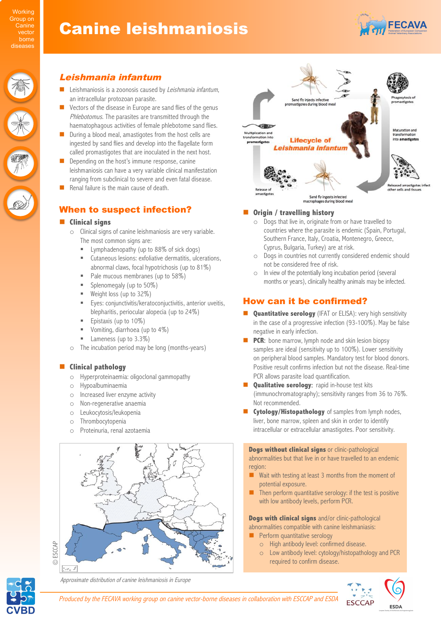# Canine leishmaniosis



# Leishmania infantum

- Leishmaniosis is a zoonosis caused by Leishmania infantum, an intracellular protozoan parasite.
- Vectors of the disease in Europe are sand flies of the genus Phlebotomus. The parasites are transmitted through the haematophagous activities of female phlebotome sand flies.
- $\Box$  During a blood meal, amastigotes from the host cells are ingested by sand flies and develop into the flagellate form called promastigotes that are inoculated in the next host.
- Depending on the host's immune response, canine leishmaniosis can have a very variable clinical manifestation ranging from subclinical to severe and even fatal disease.
- Renal failure is the main cause of death.

# When to suspect infection?

### $\blacksquare$  Clinical signs

- o Clinical signs of canine leishmaniosis are very variable. The most common signs are:
	- **EXECUTE:** Lymphadenopathy (up to 88% of sick dogs)
	- Cutaneous lesions: exfoliative dermatitis, ulcerations, abnormal claws, focal hypotrichosis (up to 81%)
	- Pale mucous membranes (up to 58%)
	- Splenomegaly (up to 50%)
	- Weight loss (up to 32%)
	- " Eyes: conjunctivitis/keratoconjuctivitis, anterior uveitis, blepharitis, periocular alopecia (up to 24%)
	- Epistaxis (up to 10%)
	- $\blacksquare$  Vomiting, diarrhoea (up to 4%)
	- Lameness (up to 3.3%)
- o The incubation period may be long (months-years)

### $\blacksquare$  Clinical pathology

- o Hyperproteinaemia: oligoclonal gammopathy
- o Hypoalbuminaemia
- o Increased liver enzyme activity
- o Non-regenerative anaemia
- o Leukocytosis/leukopenia
- o Thrombocytopenia
- o Proteinuria, renal azotaemia





### $\blacksquare$  Origin / travelling history

- o Dogs that live in, originate from or have travelled to countries where the parasite is endemic (Spain, Portugal, Southern France, Italy, Croatia, Montenegro, Greece, Cyprus, Bulgaria, Turkey) are at risk.
- o Dogs in countries not currently considered endemic should not be considered free of risk.
- $\circ$  In view of the potentially long incubation period (several months or years), clinically healthy animals may be infected.

# How can it be confirmed?

- **E Quantitative serology** (IFAT or ELISA): very high sensitivity in the case of a progressive infection (93-100%). May be false negative in early infection.
- **PCR:** bone marrow, lymph node and skin lesion biopsy samples are ideal (sensitivity up to 100%). Lower sensitivity on peripheral blood samples. Mandatory test for blood donors. Positive result confirms infection but not the disease. Real-time PCR allows parasite load quantification.
- **Qualitative serology:** rapid in-house test kits (immunochromatography); sensitivity ranges from 36 to 76%. Not recommended.
- **Cytology/Histopathology** of samples from lymph nodes, liver, bone marrow, spleen and skin in order to identify intracellular or extracellular amastigotes. Poor sensitivity.

**Dogs without clinical signs** or clinic-pathological abnormalities but that live in or have travelled to an endemic region:

- $\blacksquare$  Wait with testing at least 3 months from the moment of potential exposure.
- Then perform quantitative serology: if the test is positive with low antibody levels, perform PCR.

**Dogs with clinical signs** and/or clinic-pathological abnormalities compatible with canine leishmaniasis:

- **E** Perform quantitative serology
	- o High antibody level: confirmed disease.
		- Low antibody level: cytology/histopathology and PCR required to confirm disease.



Approximate distribution of canine leishmaniosis in Europe

Produced by the FECAVA working group on canine vector-borne diseases in collaboration with ESCCAP and ESDA